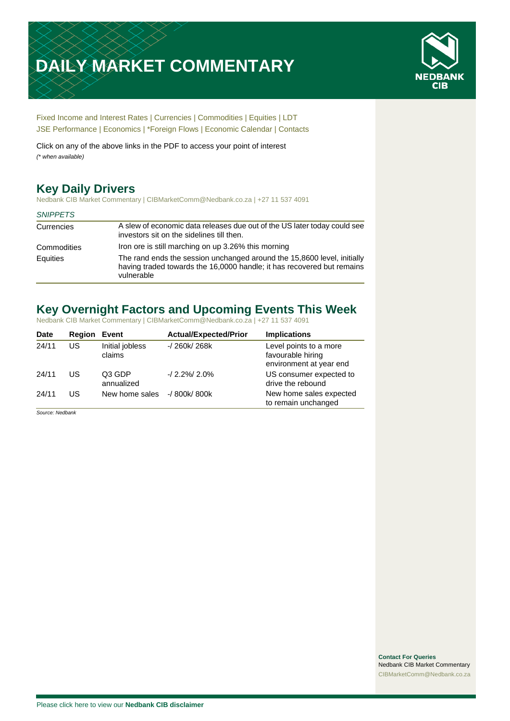# **DAILY MARKET COMMENTARY**



[Fixed Income and Interest Rates](#page-1-0) | [Currencies](#page-2-0) | [Commodities](#page-3-0) [| Equities](#page-4-0) | [LDT](#page-6-0) [JSE Performance](#page-6-0) [| Economics](#page-6-1) | [\\*Foreign Flows](#page-7-0) | [Economic Calendar](#page-7-0) | [Contacts](#page-8-0)

Click on any of the above links in the PDF to access your point of interest *(\* when available)*

# **Key Daily Drivers**

Nedbank CIB Market Commentary | CIBMarketComm@Nedbank.co.za | +27 11 537 4091

#### *SNIPPETS*

| Currencies  | A slew of economic data releases due out of the US later today could see<br>investors sit on the sidelines till then.                                           |
|-------------|-----------------------------------------------------------------------------------------------------------------------------------------------------------------|
| Commodities | Iron ore is still marching on up 3.26% this morning                                                                                                             |
| Equities    | The rand ends the session unchanged around the 15,8600 level, initially<br>having traded towards the 16,0000 handle; it has recovered but remains<br>vulnerable |

# **Key Overnight Factors and Upcoming Events This Week**

Nedbank CIB Market Commentary | CIBMarketComm@Nedbank.co.za | +27 11 537 4091

| <b>Date</b> | Region | Event                       | <b>Actual/Expected/Prior</b> | <b>Implications</b>                                                    |
|-------------|--------|-----------------------------|------------------------------|------------------------------------------------------------------------|
| 24/11       | US     | Initial jobless<br>claims   | $-1260k/268k$                | Level points to a more<br>favourable hiring<br>environment at year end |
| 24/11       | US     | Q3 GDP<br>annualized        | $-12.2\%$ $12.0\%$           | US consumer expected to<br>drive the rebound                           |
| 24/11       | US     | New home sales -/ 800k/800k |                              | New home sales expected<br>to remain unchanged                         |

*Source: Nedbank*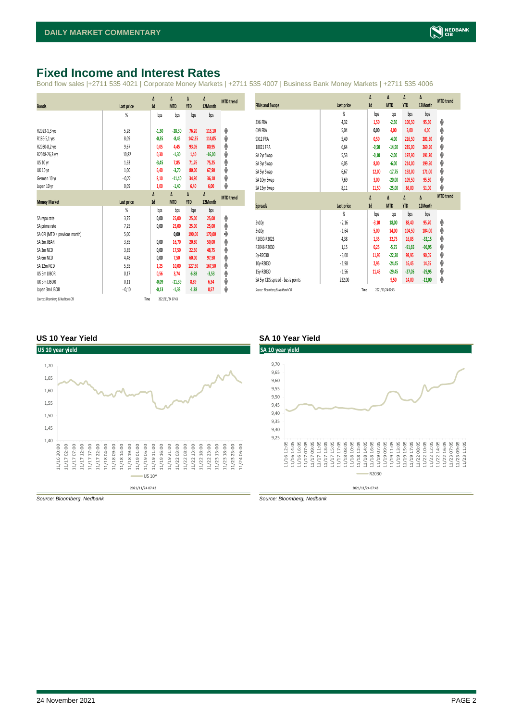## <span id="page-1-0"></span>**Fixed Income and Interest Rates**

Bond flow sales |+2711 535 4021 | Corporate Money Markets | +2711 535 4007 | Business Bank Money Markets | +2711 535 4006

|                               |                | Δ       | Δ          | Δ          | Δ        | <b>MTD</b> trend |
|-------------------------------|----------------|---------|------------|------------|----------|------------------|
| <b>Bonds</b>                  | Last price     | 1d      | <b>MTD</b> | <b>YTD</b> | 12Month  |                  |
|                               | %              | bps     | bps        | bps        | bps      |                  |
|                               |                |         |            |            |          |                  |
| R2023-1,3 yrs                 | 5,28           | $-1,30$ | $-28,30$   | 76,20      | 113,10   | ψ                |
| R186-5,1 yrs                  | 8,09           | $-0,35$ | $-8,45$    | 142,35     | 114,05   | ψ                |
| R2030-8,2 yrs                 | 9,67           | 0,05    | 4,45       | 93,05      | 80,95    | ۸                |
| R2048-26,3 yrs                | 10,82          | 0,30    | $-1,30$    | 1,40       | $-16,00$ | ψ                |
| US 10 yr                      | 1,63           | $-3,45$ | 7,85       | 71,76      | 75,25    | ۸                |
| <b>UK 10 yr</b>               | 1,00           | 6,40    | $-3,70$    | 80,00      | 67,90    | ψ                |
| German 10 yr                  | $-0,22$        | 8,10    | $-11,40$   | 34,90      | 36,10    | ψ                |
| Japan 10 yr                   | 0,09           | 1,00    | $-1,40$    | 6,40       | 6,00     | ψ                |
|                               |                | Δ       | Δ          | Δ          | Δ        | <b>MTD</b> trend |
| <b>Money Market</b>           | Last price     | 1d      | <b>MTD</b> | <b>YTD</b> | 12Month  |                  |
|                               | $\frac{9}{20}$ | bps     | bps        | bps        | bps      |                  |
| SA reporate                   | 3,75           | 0,00    | 25,00      | 25,00      | 25,00    | ٨                |
| SA prime rate                 | 7,25           | 0,00    | 25,00      | 25,00      | 25,00    | ۸                |
| SA CPI (MTD = previous month) | 5,00           |         | 0,00       | 190,00     | 170,00   | ٠                |
| SA 3m JIBAR                   | 3,85           | 0,00    | 16,70      | 20,80      | 50,00    | ۸                |
| SA 3m NCD                     | 3,85           | 0,00    | 17,50      | 22,50      | 48,75    | ۸                |
| SA 6m NCD                     | 4,48           | 0,00    | 7,50       | 60,00      | 97,50    | ۸                |
| SA 12m NCD                    | 5,35           | 1,25    | 10,00      | 127,50     | 167,50   | ۸                |
| US 3m LIBOR                   | 0,17           | 0,56    | 3,74       | $-6,88$    | $-3,53$  | ۸                |
|                               |                |         |            |            |          |                  |
| UK 3m LIBOR                   | 0,11           | $-0,09$ | $-11,39$   | 8,89       | 6,34     | ψ                |
| Japan 3m LIBOR                | $-0,10$        | $-0,13$ | $-1,33$    | $-1,38$    | 0,57     | ψ                |

|                                  |            | $\Delta$ | Δ          | Δ          | Δ        | <b>MTD</b> trend |
|----------------------------------|------------|----------|------------|------------|----------|------------------|
| <b>FRAs and Swaps</b>            | Last price | 1d       | <b>MTD</b> | <b>YTD</b> | 12Month  |                  |
|                                  | %          | bps      | bps        | bps        | bps      |                  |
| 3X6 FRA                          | 4,32       | 1,50     | $-2,50$    | 100,50     | 95,50    | ψ                |
| 6X9 FRA                          | 5,04       | 0,00     | 4,00       | 3,00       | 4,00     | ۸                |
| 9X12 FRA                         | 5,49       | 0,50     | $-4,00$    | 216,50     | 201,50   | V                |
| 18X21 FRA                        | 6,64       | $-0,50$  | $-14,50$   | 285,00     | 269,50   | ψ                |
| SA 2yr Swap                      | 5,53       | $-0,10$  | $-2,00$    | 197,90     | 191,20   | ψ                |
| SA 3yr Swap                      | 6,05       | 8,00     | $-6,00$    | 214,00     | 199,50   | ψ                |
| SA 5yr Swap                      | 6,67       | 12,00    | $-17,75$   | 192,00     | 171,00   | ψ                |
| SA 10yr Swap                     | 7,69       | 3,00     | $-20,00$   | 109,50     | 95,50    | ψ                |
| SA 15yr Swap                     | 8,11       | 11,50    | $-25,00$   | 66,00      | 51,00    | v                |
|                                  |            |          |            |            |          | <b>MTD</b> trend |
|                                  |            | $\Delta$ | Δ          | Δ          | Δ        |                  |
| <b>Spreads</b>                   | Last price | 1d       | <b>MTD</b> | <b>YTD</b> | 12Month  |                  |
|                                  | %          | bps      | bps        | bps        | bps      |                  |
| 2v10v                            | $-2,16$    | $-3,10$  | 18,00      | 88,40      | 95,70    | φ                |
| 3v10y                            | $-1,64$    | 5,00     | 14,00      | 104,50     | 104,00   | φ                |
| R2030-R2023                      | 4,38       | 1,35     | 32,75      | 16,85      | $-32,15$ | ۸                |
| R2048-R2030                      | 1,15       | 0,25     | $-5,75$    | $-91,65$   | $-96,95$ | ψ                |
| 5y-R2030                         | $-3,00$    | 11,95    | $-22,20$   | 98,95      | 90,05    | ψ                |
| 10v-R2030                        | $-1,98$    | 2,95     | $-24,45$   | 16,45      | 14,55    | ψ                |
| 15y-R2030                        | $-1,56$    | 11,45    | $-29,45$   | $-27,05$   | $-29,95$ | ψ                |
| SA 5yr CDS spread - basis points | 222,00     |          | 9,50       | 14,00      | $-12,00$ | ۸                |

#### **US 10 Year Yield SA 10 Year Yield**



*Source: Bloomberg, Nedbank Source: Bloomberg, Nedbank*



2021/11/24 07:43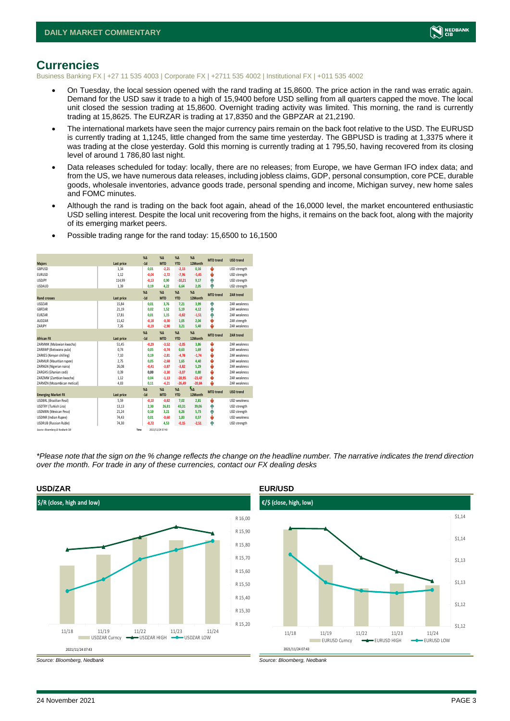

### <span id="page-2-0"></span>**Currencies**

Business Banking FX | +27 11 535 4003 | Corporate FX | +2711 535 4002 | Institutional FX | +011 535 4002

- On Tuesday, the local session opened with the rand trading at 15,8600. The price action in the rand was erratic again. Demand for the USD saw it trade to a high of 15,9400 before USD selling from all quarters capped the move. The local unit closed the session trading at 15,8600. Overnight trading activity was limited. This morning, the rand is currently trading at 15,8625. The EURZAR is trading at 17,8350 and the GBPZAR at 21,2190.
- The international markets have seen the major currency pairs remain on the back foot relative to the USD. The EURUSD is currently trading at 1,1245, little changed from the same time yesterday. The GBPUSD is trading at 1,3375 where it was trading at the close yesterday. Gold this morning is currently trading at 1 795,50, having recovered from its closing level of around 1 786,80 last night.
- Data releases scheduled for today: locally, there are no releases; from Europe, we have German IFO index data; and from the US, we have numerous data releases, including jobless claims, GDP, personal consumption, core PCE, durable goods, wholesale inventories, advance goods trade, personal spending and income, Michigan survey, new home sales and FOMC minutes.
- Although the rand is trading on the back foot again, ahead of the 16,0000 level, the market encountered enthusiastic USD selling interest. Despite the local unit recovering from the highs, it remains on the back foot, along with the majority of its emerging market peers.

| <b>Majors</b>                   | Last price | X <sub>A</sub><br>$-1d$ | X <sub>A</sub><br><b>MTD</b> | $\%$ $\Lambda$<br><b>YTD</b> | $% \Lambda$<br>12Month | <b>MTD</b> trend | <b>USD trend</b>    |
|---------------------------------|------------|-------------------------|------------------------------|------------------------------|------------------------|------------------|---------------------|
| <b>GBPUSD</b>                   | 1.34       | 0.01                    | $-2.21$                      | $-2.13$                      | 0.16                   | U                | USD strength        |
| <b>EURUSD</b>                   | 1.12       | $-0.04$                 | $-2.72$                      | $-7,96$                      | $-5.45$                | ψ                | USD strength        |
| <b>USDJPY</b>                   | 114,99     | $-0.13$                 | 0.90                         | $-10,21$                     | 9.17                   | ٠                | USD strength        |
| <b>USDAUD</b>                   | 1,39       | 0,19                    | 4,22                         | 6,64                         | 2,05                   | Φ                | USD strength        |
|                                 |            | X <sub>A</sub>          | X <sub>A</sub>               | $\%$ $\Lambda$               | $% \Lambda$            | <b>MTD</b> trend | <b>ZAR trend</b>    |
| <b>Rand crosses</b>             | Last price | $-1d$                   | <b>MTD</b>                   | <b>YTD</b>                   | 12Month                |                  |                     |
| <b>USDZAR</b>                   | 15,84      | 0.01                    | 3.76                         | 7,21                         | 3,99                   | ٠                | ZAR weakness        |
| GBPZAR                          | 21.19      | 0.02                    | 1.52                         | 5.19                         | 4.12                   | ۸                | <b>7AR</b> weakness |
| <b>EURZAR</b>                   | 17.81      | 0.01                    | 1.15                         | $-0,82$                      | $-1.51$                | ۸                | <b>7AR</b> weakness |
| AUD7AR                          | 11,42      | $-0.18$                 | $-0,30$                      | 1,05                         | 2.04                   | v                | ZAR strength        |
| ZARJPY                          | 7,26       | $-0,19$                 | $-2,90$                      | 3,21                         | 5,40                   | ٤                | <b>7AR</b> weakness |
|                                 |            | X <sub>A</sub>          | X <sub>A</sub>               | $\%$ $\Lambda$               | $% \Delta$             | <b>MTD</b> trend | <b>ZAR trend</b>    |
| <b>African FX</b>               | Last price | $-1d$                   | <b>MTD</b>                   | <b>YTD</b>                   | 12Month                |                  |                     |
| ZARMWK (Malawian kwacha)        | 51,45      | $-0,29$                 | $-3,52$                      | $-2,05$                      | 3,86                   | v                | <b>7AR</b> weakness |
| ZARBWP (Botswana pula)          | 0.74       | 0.05                    | $-0.74$                      | 0,63                         | 1.69                   | ψ                | <b>7AR</b> weakness |
| ZARKES (Kenvan shilling)        | 7.10       | 0.19                    | $-2.81$                      | $-4,78$                      | $-1.74$                | ψ                | <b>7AR</b> weakness |
| ZARMUR (Mauritian rupee)        | 2.75       | 0.05                    | $-2,68$                      | 1.65                         | 4,40                   | v                | <b>7AR</b> weakness |
| ZARNGN (Nigerian naira)         | 26,08      | $-0.41$                 | $-3,87$                      | $-3,82$                      | 5,29                   | v                | <b>7AR</b> weakness |
| ZARGHS (Ghanian cedi)           | 0.39       | 0.00                    | $-3.30$                      | $-3,07$                      | 0.80                   | v                | <b>7AR</b> weakness |
| ZARZMW (Zambian kwacha)         | 1.12       | 0.04                    | $-1.13$                      | $-28.95$                     | $-23.47$               | ψ                | <b>7AR</b> weakness |
| ZARMZN (Mozambican metical)     | 4.03       | 0.11                    | $-4,21$                      | $-26,49$                     | $-20,84$               | ٠                | ZAR weakness        |
|                                 |            | X <sub>A</sub>          | X <sub>A</sub>               | $% \Delta$                   | $\frac{1}{260}$        | <b>MTD</b> trend | <b>USD trend</b>    |
| <b>Emerging Market FX</b>       | Last price | $-1d$                   | <b>MTD</b>                   | <b>YTD</b>                   | 12Month                |                  |                     |
| <b>USDBRL (Brazilian Real)</b>  | 5.59       | $-0.10$                 | $-0.82$                      | 7.02                         | 2.81                   | v                | <b>USD</b> weakness |
| USDTRY (Turkish Lira)           | 13,13      | 2.30                    | 26.81                        | 43,31                        | 39.06                  | ٠                | USD strength        |
| <b>USDMXN (Mexican Peso)</b>    | 21,24      | 0,10                    | 3,21                         | 6,26                         | 5,73                   | ٠                | USD strength        |
| <b>USDINR</b> (Indian Rupee)    | 74,43      | 0.01                    | $-0,60$                      | 1,83                         | 0,57                   | ÷                | USD weakness        |
| <b>USDRUB (Russian Ruble)</b>   | 74,30      | $-0.72$                 | 4.53                         | $-0.15$                      | $-2.51$                | ۸                | USD strength        |
| Source: Bloomberg & Nedbank CIB | Time       |                         | 2021/11/24 07:43             |                              |                        |                  |                     |

• Possible trading range for the rand today: 15,6500 to 16,1500

*\*Please note that the sign on the % change reflects the change on the headline number. The narrative indicates the trend direction over the month. For trade in any of these currencies, contact our FX dealing desks*



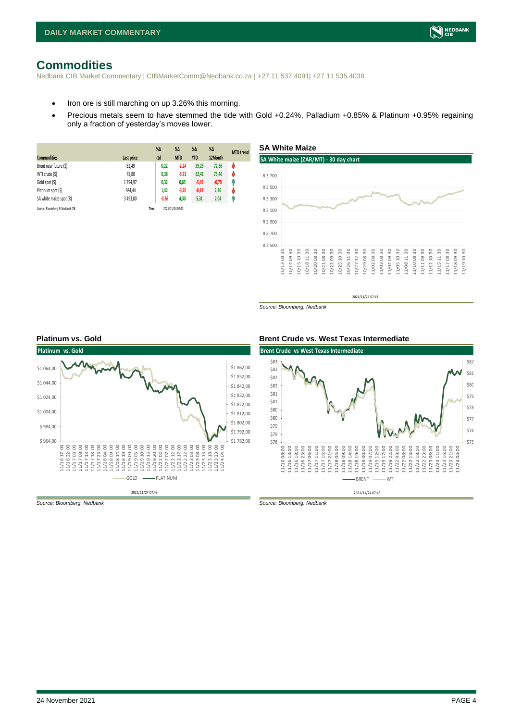## <span id="page-3-0"></span>**Commodities**

Nedbank CIB Market Commentary | CIBMarketComm@Nedbank.co.za | +27 11 537 4091| +27 11 535 4038

- Iron ore is still marching on up 3.26% this morning.
- Precious metals seem to have stemmed the tide with Gold +0.24%, Palladium +0.85% & Platinum +0.95% regaining only a fraction of yesterday's moves lower.

**SA White Maize**

| <b>Commodities</b>              | Last price | $%$ $\Delta$<br>$-1d$ | $\%$ $\Delta$<br><b>MTD</b> | $%$ $\Delta$<br><b>YTD</b> | $\%$ $\Delta$<br>12Month | <b>MTD</b> trend |
|---------------------------------|------------|-----------------------|-----------------------------|----------------------------|--------------------------|------------------|
| Brent near future (\$)          | 82,49      | 0,22                  | $-2.24$                     | 59,25                      | 72,36                    | Ů                |
| WTI crude (\$)                  | 78,80      | 0,38                  | $-5,71$                     | 62,41                      | 75,46                    | N                |
| Gold spot (\$)                  | 1794,97    | 0,32                  | 0,65                        | $-5,45$                    | $-0,70$                  | φ                |
| Platinum spot (\$)              | 984,44     | 1,42                  | $-3,70$                     | $-8,18$                    | 2,26                     | ŵ                |
| SA white maize spot (R)         | 3 493,00   | $-0,26$               | 4,30                        | 5,31                       | 2,04                     | f                |
| Source: Bloomberg & Nedbank CIB |            | Time                  | 2021/11/24 07:43            |                            |                          |                  |



*Source: Bloomberg, Nedbank*





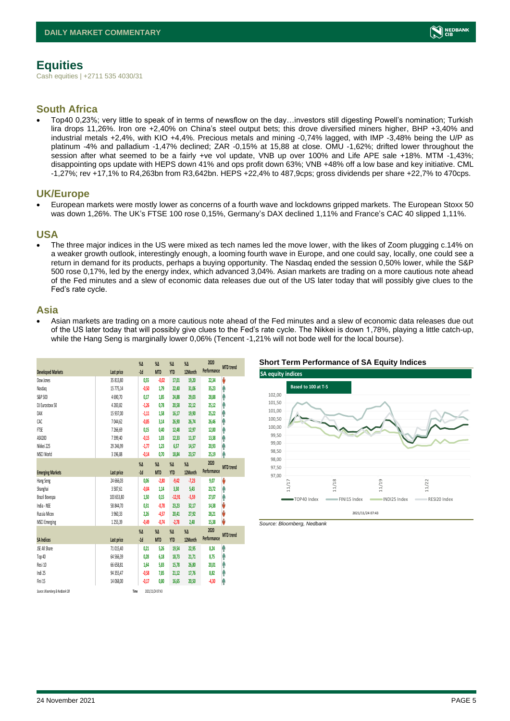# <span id="page-4-0"></span>**Equities**

Cash equities | +2711 535 4030/31

#### **South Africa**

• Top40 0,23%; very little to speak of in terms of newsflow on the day…investors still digesting Powell's nomination; Turkish lira drops 11,26%. Iron ore +2,40% on China's steel output bets; this drove diversified miners higher, BHP +3,40% and industrial metals +2,4%, with KIO +4,4%. Precious metals and mining -0,74% lagged, with IMP -3,48% being the U/P as platinum -4% and palladium -1,47% declined; ZAR -0,15% at 15,88 at close. OMU -1,62%; drifted lower throughout the session after what seemed to be a fairly +ve vol update, VNB up over 100% and Life APE sale +18%. MTM -1,43%; disappointing ops update with HEPS down 41% and ops profit down 63%; VNB +48% off a low base and key initiative. CML -1,27%; rev +17,1% to R4,263bn from R3,642bn. HEPS +22,4% to 487,9cps; gross dividends per share +22,7% to 470cps.

#### **UK/Europe**

• European markets were mostly lower as concerns of a fourth wave and lockdowns gripped markets. The European Stoxx 50 was down 1,26%. The UK's FTSE 100 rose 0,15%, Germany's DAX declined 1,11% and France's CAC 40 slipped 1,11%.

#### **USA**

• The three major indices in the US were mixed as tech names led the move lower, with the likes of Zoom plugging c.14% on a weaker growth outlook, interestingly enough, a looming fourth wave in Europe, and one could say, locally, one could see a return in demand for its products, perhaps a buying opportunity. The Nasdaq ended the session 0,50% lower, while the S&P 500 rose 0,17%, led by the energy index, which advanced 3,04%. Asian markets are trading on a more cautious note ahead of the Fed minutes and a slew of economic data releases due out of the US later today that will possibly give clues to the Fed's rate cycle.

#### **Asia**

• Asian markets are trading on a more cautious note ahead of the Fed minutes and a slew of economic data releases due out of the US later today that will possibly give clues to the Fed's rate cycle. The Nikkei is down 1,78%, playing a little catch-up, while the Hang Seng is marginally lower 0,06% (Tencent -1,21% will not bode well for the local bourse).

|                                 |            | $\%$ $\Delta$ | $\%$ $\Delta$    | $\%$ $\Delta$ | $\%$ $\Delta$ | 2020        | <b>MTD</b> trend |
|---------------------------------|------------|---------------|------------------|---------------|---------------|-------------|------------------|
| <b>Developed Markets</b>        | Last price | $-1d$         | <b>MTD</b>       | <b>YTD</b>    | 12Month       | Performance |                  |
| Dow Jones                       | 35 813.80  | 0,55          | $-0.02$          | 17,01         | 19.20         | 22,34       | V                |
| Nasdao                          | 15 775,14  | $-0,50$       | 1.79             | 22,40         | 31,06         | 35,23       | Α                |
| S&P 500                         | 4690,70    | 0,17          | 1,85             | 24,88         | 29,03         | 28,88       | ٨                |
| DJ Eurostoxx 50                 | 4 28 3, 82 | $-1,26$       | 0,78             | 20,58         | 22,12         | 25,12       | ٨                |
| DAX                             | 15 937,00  | $-1,11$       | 1.58             | 16,17         | 19,90         | 25,22       | φ                |
| CAC                             | 7044.62    | $-0.85$       | 3.14             | 26,90         | 26.74         | 26,46       | ۸                |
| FTSE                            | 7266,69    | 0,15          | 0,40             | 12,48         | 12,97         | 12,00       | Λ                |
| ASX200                          | 7399,40    | $-0.15$       | 1.03             | 12,33         | 11,37         | 13,38       | ۸                |
| Nikkei 225                      | 29 246.99  | $-1.77$       | 1.23             | 6,57          | 14.57         | 20,93       | ۸                |
| MSCI World                      | 3 196,88   | $-0.14$       | 0,70             | 18,84         | 23,57         | 25,19       | ٨                |
|                                 |            | $\%$ $\Delta$ | $\%$ $\Delta$    | $\%$ $\Delta$ | $\%$ $\Delta$ | 2020        |                  |
| <b>Emerging Markets</b>         | Last price | $-1d$         | <b>MTD</b>       | <b>YTD</b>    | 12Month       | Performance | <b>MTD</b> trend |
| Hang Seng                       | 24 666,03  | 0,06          | $-2,80$          | $-9,42$       | $-7,23$       | 9,07        | V                |
| Shanghai                        | 3587,61    | $-0,04$       | 1,14             | 3,30          | 5,43          | 23,72       | ⋔                |
| Brazil Bovespa                  | 103 653,80 | 1,50          | 0,15             | $-12,91$      | $-5,59$       | 27,07       | ٨                |
| India - NSE                     | 58 844.70  | 0,31          | $-0.78$          | 23,23         | 32,17         | 14,38       | V                |
| Russia Micex                    | 3 960,33   | 2.26          | $-4.57$          | 20,41         | 27,92         | 28,21       | V                |
| <b>MSCI Emerging</b>            | 1255,39    | $-0.49$       | $-0,74$          | $-2,78$       | 2.40          | 15,38       | V                |
|                                 |            | $\%$ $\Delta$ | $\sqrt{2}$       | $\%$ $\Delta$ | $\%$ $\Delta$ | 2020        | <b>MTD</b> trend |
| <b>SA Indices</b>               | Last price | $-1d$         | <b>MTD</b>       | <b>YTD</b>    | 12Month       | Performance |                  |
| <b>JSE All Share</b>            | 71 015.40  | 0.21          | 5.26             | 19,54         | 22.95         | 8,24        | ۸                |
| Top 40                          | 64 566,39  | 0.28          | 6,18             | 18,73         | 21,71         | 8,75        | Ĥ                |
| Resi 10                         | 66 658,81  | 1,64          | 5,83             | 15,78         | 26,80         | 20,01       | Ą                |
| Indi 25                         | 94 355.47  | $-0,58$       | 7.85             | 21,12         | 17,76         | 8,82        | ٨                |
| Fini 15                         | 14 068.00  | $-0.17$       | 0.80             | 16,65         | 20,50         | $-4,30$     | ۸                |
| Source: Bloomberg & Nedbonk CIB |            | Time          | 2021/11/24 07:43 |               |               |             |                  |

#### **Short Term Performance of SA Equity Indices**



*Source: Bloomberg, Nedbank*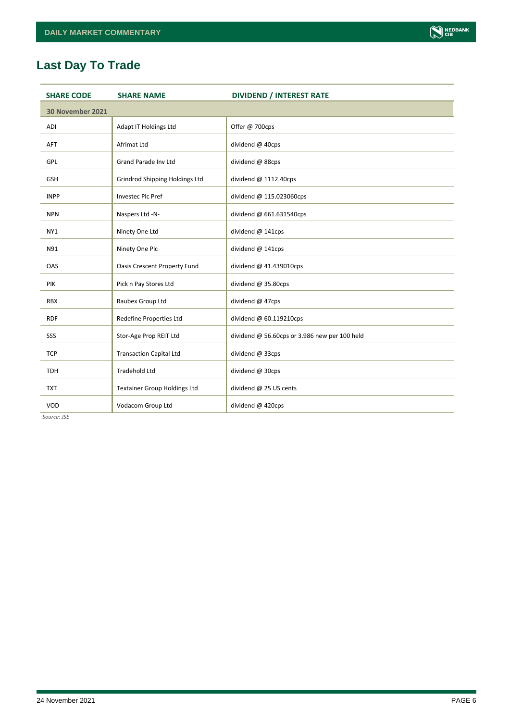# **Last Day To Trade**

| <b>SHARE CODE</b> | <b>SHARE NAME</b>                   | <b>DIVIDEND / INTEREST RATE</b>               |
|-------------------|-------------------------------------|-----------------------------------------------|
| 30 November 2021  |                                     |                                               |
| ADI               | Adapt IT Holdings Ltd               | Offer @ 700cps                                |
| AFT               | Afrimat Ltd                         | dividend @ 40cps                              |
| GPL               | Grand Parade Inv Ltd                | dividend @ 88cps                              |
| <b>GSH</b>        | Grindrod Shipping Holdings Ltd      | dividend @ 1112.40cps                         |
| <b>INPP</b>       | <b>Investec Plc Pref</b>            | dividend @ 115.023060cps                      |
| <b>NPN</b>        | Naspers Ltd -N-                     | dividend @ 661.631540cps                      |
| NY1               | Ninety One Ltd                      | dividend @ 141cps                             |
| N91               | Ninety One Plc                      | dividend @ 141cps                             |
| OAS               | <b>Oasis Crescent Property Fund</b> | dividend @ 41.439010cps                       |
| <b>PIK</b>        | Pick n Pay Stores Ltd               | dividend @ 35.80cps                           |
| <b>RBX</b>        | Raubex Group Ltd                    | dividend @ 47cps                              |
| <b>RDF</b>        | Redefine Properties Ltd             | dividend @ 60.119210cps                       |
| SSS               | Stor-Age Prop REIT Ltd              | dividend @ 56.60cps or 3.986 new per 100 held |
| <b>TCP</b>        | <b>Transaction Capital Ltd</b>      | dividend @ 33cps                              |
| <b>TDH</b>        | <b>Tradehold Ltd</b>                | dividend @ 30cps                              |
| <b>TXT</b>        | <b>Textainer Group Holdings Ltd</b> | dividend @ 25 US cents                        |
| VOD               | Vodacom Group Ltd                   | dividend @ 420cps                             |

*Source: JSE*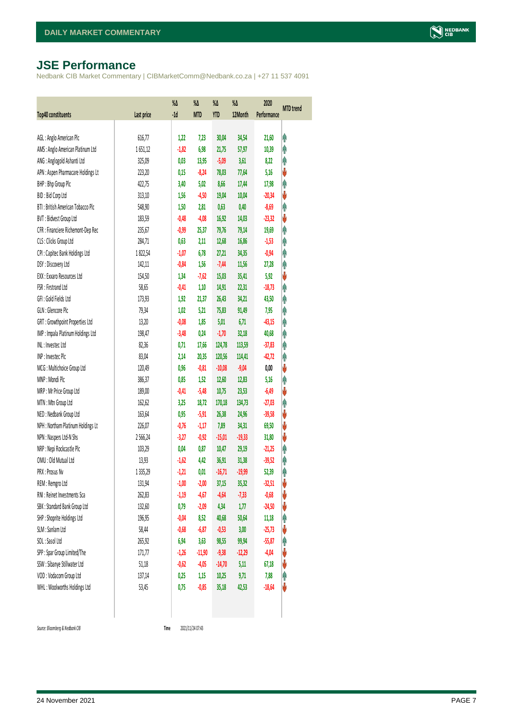# <span id="page-6-0"></span>**JSE Performance**

Nedbank CIB Market Commentary | CIBMarketComm@Nedbank.co.za | +27 11 537 4091

| <b>Top40 constituents</b>          | Last price    | %Δ<br>$-1d$ | %Δ<br><b>MTD</b> | %Δ<br>YTD | $\%$<br>12Month | 2020<br>Performance | <b>MTD</b> trend |
|------------------------------------|---------------|-------------|------------------|-----------|-----------------|---------------------|------------------|
|                                    |               |             |                  |           |                 |                     |                  |
| AGL: Anglo American Plc            | 616,77        | 1,22        | 7,23             | 30,04     | 34,54           | 21,60               | φ                |
| AMS: Anglo American Platinum Ltd   | 1651,12       | $-1,82$     | 6,98             | 21,75     | 57,97           | 10,39               | φ                |
| ANG: Anglogold Ashanti Ltd         | 325,09        | 0,03        | 13,95            | $-5,09$   | 3,61            | 8,22                | φ                |
| APN : Aspen Pharmacare Holdings Lt | 223,20        | 0,15        | $-8,24$          | 78,03     | 77,64           | 5,16                | V                |
| BHP: Bhp Group Plc                 | 422,75        | 3,40        | 5,02             | 8,66      | 17,44           | 17,98               | Ą                |
| BID: Bid Corp Ltd                  | 313,10        | 1,56        | $-4,50$          | 19,04     | 10,04           | $-20,34$            | V                |
| BTI: British American Tobacco Plc  | 548,90        | 1,50        | 2,81             | 0,63      | 0,40            | $-8,69$             | φ                |
| BVT: Bidvest Group Ltd             | 183,59        | $-0,48$     | $-4,08$          | 16,92     | 14,03           | $-23,32$            | V                |
| CFR : Financiere Richemont-Dep Rec | 235,67        | $-0,99$     | 25,37            | 79,76     | 79,14           | 19,69               | φ                |
| CLS : Clicks Group Ltd             | 284,71        | 0,63        | 2,11             | 12,68     | 16,86           | $-1,53$             | φ                |
| CPI : Capitec Bank Holdings Ltd    | 1822,54       | $-1,07$     | 6,78             | 27,21     | 34,35           | $-0,94$             | φ                |
| DSY: Discovery Ltd                 | 142,11        | $-0,84$     | 1,56             | $-7,44$   | 11,56           | 27,28               | φ                |
| EXX : Exxaro Resources Ltd         | 154,50        | 1,34        | $-7,62$          | 15,03     | 35,41           | 5,92                | V                |
| FSR: Firstrand Ltd                 | 58,65         | $-0,41$     | 1,10             | 14,91     | 22,31           | $-18,73$            | φ                |
| GFI: Gold Fields Ltd               | 173,93        | 1,92        | 21,37            | 26,43     | 34,21           | 43,50               | φ                |
| GLN : Glencore Plc                 | 79,34         | 1,02        | 5,21             | 75,83     | 91,49           | 7,95                | φ                |
| GRT : Growthpoint Properties Ltd   | 13,20         | $-0,08$     | 1,85             | 5,01      | 6,71            | $-43,15$            | φ                |
| IMP : Impala Platinum Holdings Ltd | 198,47        | $-3,48$     | 0,24             | $-1,70$   | 32,18           | 40,68               | φ                |
| INL: Investec Ltd                  | 82,36         | 0,71        | 17,66            | 124,78    | 113,59          | $-37,83$            | Λ                |
| INP: Invested Plc                  | 83,04         | 2,14        | 20,35            | 120,56    | 114,41          | $-42,72$            | φ                |
| MCG: Multichoice Group Ltd         | 120,49        | 0,96        | $-0,81$          | $-10,08$  | $-9,04$         | 0,00                | ♦                |
| MNP: Mondi Plc                     | 386,37        | 0,85        | 1,52             | 12,60     | 12,83           | 5,16                | φ                |
| MRP : Mr Price Group Ltd           | 189,00        | $-0,41$     | $-5,48$          | 10,75     | 23,53           | $-6,49$             | ♦                |
| MTN: Mtn Group Ltd                 | 162,62        | 3,25        | 18,72            | 170,18    | 134,73          | $-27,03$            | φ                |
| NED: Nedbank Group Ltd             | 163,64        | 0,95        | $-5,91$          | 26,38     | 24,96           | $-39,58$            | ♦                |
| NPH : Northam Platinum Holdings Lt | 226,07        | $-0,76$     | $-1,17$          | 7,89      | 34,31           | 69,50               | V                |
| NPN : Naspers Ltd-N Shs            | 2566,24       | $-3,27$     | $-0,92$          | $-15,01$  | $-19,33$        | 31,80               | ♦                |
| NRP : Nepi Rockcastle Plc          | 103,29        | 0,04        | 0,87             | 10,47     | 29,19           | $-21,25$            | φ                |
| OMU: Old Mutual Ltd                | 13,93         | $-1,62$     | 4,42             | 36,91     | 31,38           | $-39,52$            | Λ                |
| PRX: Prosus Nv                     | 1 3 3 5 , 2 9 | $-1,21$     | 0,01             | $-16,71$  | $-19,99$        | 52,39               | φ                |
| REM : Remgro Ltd                   | 131,94        | $-1,00$     | $-2,00$          | 37,15     | 35,32           | $-32,51$            | V                |
| RNI : Reinet Investments Sca       | 262,83        | $-1,19$     | $-4,67$          | $-4,64$   | $-7,33$         | $-0,68$             | V                |
| SBK: Standard Bank Group Ltd       | 132,60        | 0,79        | $-2,09$          | 4,34      | 1,77            | $-24,50$            | V                |
| SHP: Shoprite Holdings Ltd         | 196,95        | $-0,04$     | 8,52             | 40,68     | 50,64           | 11,18               | φ                |
| SLM : Sanlam Ltd                   | 58,44         | $-0,68$     | $-6,87$          | $-0,53$   | 3,00            | $-25,73$            | V                |
| SOL: Sasol Ltd                     | 265,92        | 6,94        | 3,63             | 98,55     | 99,94           | $-55,87$            | φ                |
| SPP: Spar Group Limited/The        | 171,77        | $-1,26$     | $-11,90$         | $-9,38$   | $-12,29$        | $-4,04$             | V                |
| SSW : Sibanye Stillwater Ltd       | 51,18         | $-0,62$     | $-4,05$          | $-14,70$  | 5,11            | 67,18               | V                |
| VOD: Vodacom Group Ltd             | 137,14        | 0,25        | 1,15             | 10,25     | 9,71            | 7,88                | φ                |
| WHL: Woolworths Holdings Ltd       | 53,45         | 0,75        | $-0,85$          | 35,18     | 42,53           | $-18,64$            | V                |
|                                    |               |             |                  |           |                 |                     |                  |

 $Source: Bloomberg & Nedbank *CB*$ 

<span id="page-6-1"></span>Time 2021/11/24 07:43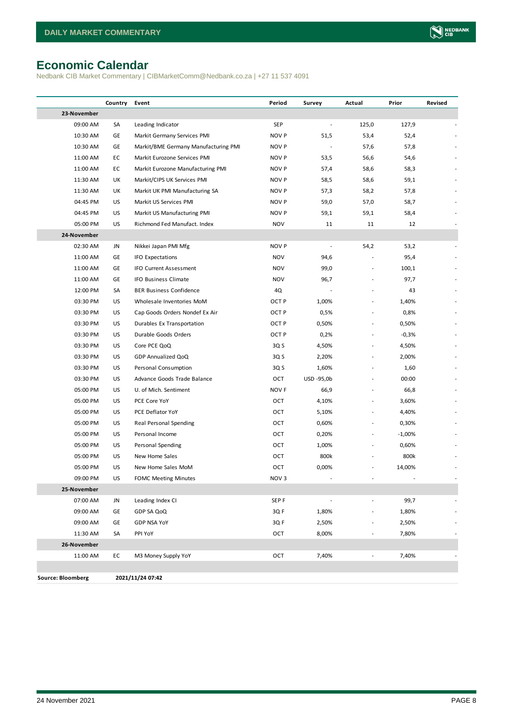# <span id="page-7-0"></span>**Economic Calendar**

Nedbank CIB Market Commentary | CIBMarketComm@Nedbank.co.za | +27 11 537 4091

|                          | Country | Event                                | Period           | Survey     | Actual                   | Prior    | Revised |
|--------------------------|---------|--------------------------------------|------------------|------------|--------------------------|----------|---------|
| 23-November              |         |                                      |                  |            |                          |          |         |
| 09:00 AM                 | SA      | Leading Indicator                    | SEP              |            | 125,0                    | 127,9    |         |
| 10:30 AM                 | GE      | Markit Germany Services PMI          | NOV P            | 51,5       | 53,4                     | 52,4     |         |
| 10:30 AM                 | GE      | Markit/BME Germany Manufacturing PMI | NOV P            |            | 57,6                     | 57,8     |         |
| 11:00 AM                 | EC      | Markit Eurozone Services PMI         | NOV P            | 53,5       | 56,6                     | 54,6     |         |
| 11:00 AM                 | EC      | Markit Eurozone Manufacturing PMI    | NOV P            | 57,4       | 58,6                     | 58,3     |         |
| 11:30 AM                 | UK      | Markit/CIPS UK Services PMI          | NOV P            | 58,5       | 58,6                     | 59,1     |         |
| 11:30 AM                 | UK      | Markit UK PMI Manufacturing SA       | NOV P            | 57,3       | 58,2                     | 57,8     |         |
| 04:45 PM                 | US      | Markit US Services PMI               | NOV P            | 59,0       | 57,0                     | 58,7     |         |
| 04:45 PM                 | US      | Markit US Manufacturing PMI          | NOV P            | 59,1       | 59,1                     | 58,4     |         |
| 05:00 PM                 | US      | Richmond Fed Manufact. Index         | <b>NOV</b>       | 11         | 11                       | 12       |         |
| 24-November              |         |                                      |                  |            |                          |          |         |
| 02:30 AM                 | JN      | Nikkei Japan PMI Mfg                 | NOV P            |            | 54,2                     | 53,2     |         |
| 11:00 AM                 | GE      | <b>IFO Expectations</b>              | <b>NOV</b>       | 94,6       |                          | 95,4     |         |
| 11:00 AM                 | GE      | IFO Current Assessment               | <b>NOV</b>       | 99,0       | ÷,                       | 100,1    |         |
| 11:00 AM                 | GE      | IFO Business Climate                 | <b>NOV</b>       | 96,7       |                          | 97,7     |         |
| 12:00 PM                 | SA      | <b>BER Business Confidence</b>       | 4Q               |            |                          | 43       |         |
| 03:30 PM                 | US      | Wholesale Inventories MoM            | OCT P            | 1,00%      | $\overline{a}$           | 1,40%    |         |
| 03:30 PM                 | US      | Cap Goods Orders Nondef Ex Air       | OCT P            | 0,5%       |                          | 0,8%     |         |
| 03:30 PM                 | US      | Durables Ex Transportation           | OCT P            | 0,50%      | $\overline{\phantom{a}}$ | 0,50%    |         |
| 03:30 PM                 | US      | Durable Goods Orders                 | OCT P            | 0,2%       | L,                       | $-0,3%$  |         |
| 03:30 PM                 | US      | Core PCE QoQ                         | 3Q <sub>S</sub>  | 4,50%      |                          | 4,50%    |         |
| 03:30 PM                 | US      | GDP Annualized QoQ                   | 3Q S             | 2,20%      | $\overline{a}$           | 2,00%    |         |
| 03:30 PM                 | US      | Personal Consumption                 | 3Q S             | 1,60%      |                          | 1,60     |         |
| 03:30 PM                 | US      | Advance Goods Trade Balance          | OCT              | USD -95,0b | $\overline{a}$           | 00:00    |         |
| 05:00 PM                 | US      | U. of Mich. Sentiment                | NOV <sub>F</sub> | 66,9       | $\overline{a}$           | 66,8     |         |
| 05:00 PM                 | US      | PCE Core YoY                         | OCT              | 4,10%      | $\overline{a}$           | 3,60%    |         |
| 05:00 PM                 | US      | PCE Deflator YoY                     | OCT              | 5,10%      | $\overline{\phantom{a}}$ | 4,40%    |         |
| 05:00 PM                 | US      | Real Personal Spending               | OCT              | 0,60%      | $\overline{a}$           | 0,30%    |         |
| 05:00 PM                 | US      | Personal Income                      | OCT              | 0,20%      | $\frac{1}{2}$            | $-1,00%$ |         |
| 05:00 PM                 | US      | Personal Spending                    | OCT              | 1,00%      |                          | 0,60%    |         |
| 05:00 PM                 | US      | New Home Sales                       | OCT              | 800k       |                          | 800k     |         |
| 05:00 PM                 | US      | New Home Sales MoM                   | OCT              | 0,00%      | $\overline{a}$           | 14,00%   |         |
| 09:00 PM                 | US      | <b>FOMC Meeting Minutes</b>          | NOV <sub>3</sub> |            |                          |          |         |
| 25-November              |         |                                      |                  |            |                          |          |         |
| 07:00 AM                 | JN      | Leading Index CI                     | SEP <sub>F</sub> |            |                          | 99,7     |         |
| 09:00 AM                 | GE      | GDP SA QoQ                           | 3Q F             | 1,80%      |                          | 1,80%    |         |
| 09:00 AM                 | GE      | <b>GDP NSA YoY</b>                   | 3QF              | 2,50%      |                          | 2,50%    |         |
| 11:30 AM                 | SA      | PPI YoY                              | OCT              | 8,00%      | $\overline{\phantom{m}}$ | 7,80%    |         |
| 26-November              |         |                                      |                  |            |                          |          |         |
| 11:00 AM                 | EC      | M3 Money Supply YoY                  | OCT              | 7,40%      | $\overline{a}$           | 7,40%    |         |
|                          |         |                                      |                  |            |                          |          |         |
| <b>Source: Bloomberg</b> |         | 2021/11/24 07:42                     |                  |            |                          |          |         |